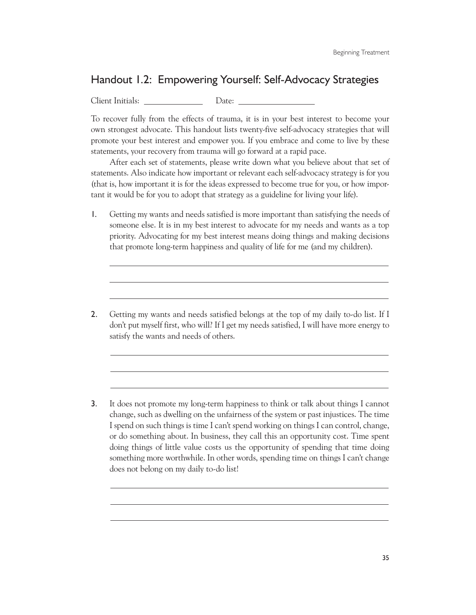## Handout 1.2: Empowering Yourself: Self-Advocacy Strategies

Client Initials: Date:

 $\overline{a}$ 

 $\overline{a}$ 

 $\overline{a}$ 

To recover fully from the effects of trauma, it is in your best interest to become your own strongest advocate. This handout lists twenty-five self-advocacy strategies that will promote your best interest and empower you. If you embrace and come to live by these statements, your recovery from trauma will go forward at a rapid pace.

After each set of statements, please write down what you believe about that set of statements. Also indicate how important or relevant each self-advocacy strategy is for you (that is, how important it is for the ideas expressed to become true for you, or how important it would be for you to adopt that strategy as a guideline for living your life).

- 1. Getting my wants and needs satisfied is more important than satisfying the needs of someone else. It is in my best interest to advocate for my needs and wants as a top priority. Advocating for my best interest means doing things and making decisions that promote long-term happiness and quality of life for me (and my children).
- 2. Getting my wants and needs satisfied belongs at the top of my daily to-do list. If I don't put myself first, who will? If I get my needs satisfied, I will have more energy to satisfy the wants and needs of others.
- 3. It does not promote my long-term happiness to think or talk about things I cannot change, such as dwelling on the unfairness of the system or past injustices. The time I spend on such things is time I can't spend working on things I can control, change, or do something about. In business, they call this an opportunity cost. Time spent doing things of little value costs us the opportunity of spending that time doing something more worthwhile. In other words, spending time on things I can't change does not belong on my daily to-do list!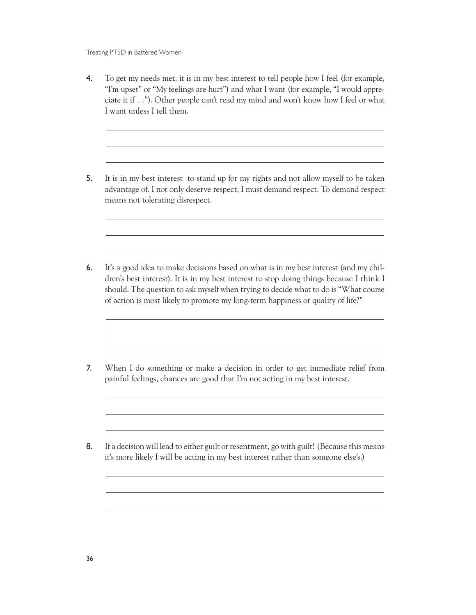Treating PTSD in Battered Women

 $\overline{a}$ 

 $\overline{a}$ 

 $\overline{a}$ 

 $\overline{a}$ 

 $\overline{a}$ 

- 4. To get my needs met, it is in my best interest to tell people how I feel (for example, "I'm upset" or "My feelings are hurt") and what I want (for example, "I would appreciate it if …"). Other people can't read my mind and won't know how I feel or what I want unless I tell them.
- 5. It is in my best interest to stand up for my rights and not allow myself to be taken advantage of. I not only deserve respect, I must demand respect. To demand respect means not tolerating disrespect.
- 6. It's a good idea to make decisions based on what is in my best interest (and my children's best interest). It is in my best interest to stop doing things because I think I should. The question to ask myself when trying to decide what to do is "What course of action is most likely to promote my long-term happiness or quality of life?"
- 7. When I do something or make a decision in order to get immediate relief from painful feelings, chances are good that I'm not acting in my best interest.
- 8. If a decision will lead to either guilt or resentment, go with guilt! (Because this means it's more likely I will be acting in my best interest rather than someone else's.)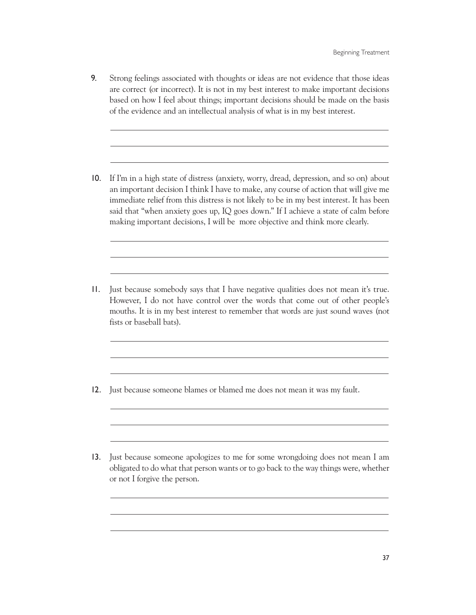9. Strong feelings associated with thoughts or ideas are not evidence that those ideas are correct (or incorrect). It is not in my best interest to make important decisions based on how I feel about things; important decisions should be made on the basis of the evidence and an intellectual analysis of what is in my best interest.

 $\overline{a}$ 

 $\overline{a}$ 

 $\overline{a}$ 

 $\overline{a}$ 

 $\overline{a}$ 

- 10. If I'm in a high state of distress (anxiety, worry, dread, depression, and so on) about an important decision I think I have to make, any course of action that will give me immediate relief from this distress is not likely to be in my best interest. It has been said that "when anxiety goes up, IQ goes down." If I achieve a state of calm before making important decisions, I will be more objective and think more clearly.
- 11. Just because somebody says that I have negative qualities does not mean it's true. However, I do not have control over the words that come out of other people's mouths. It is in my best interest to remember that words are just sound waves (not fists or baseball bats).
- 12. Just because someone blames or blamed me does not mean it was my fault.
- 13. Just because someone apologizes to me for some wrongdoing does not mean I am obligated to do what that person wants or to go back to the way things were, whether or not I forgive the person.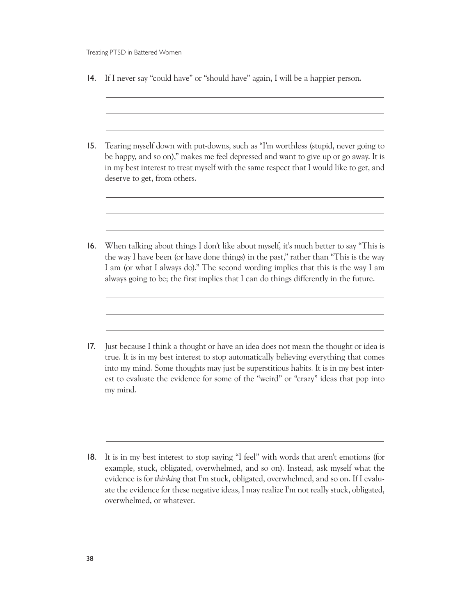$\overline{a}$ 

 $\overline{a}$ 

 $\overline{a}$ 

 $\overline{a}$ 

- 14. If I never say "could have" or "should have" again, I will be a happier person.
- 15. Tearing myself down with put-downs, such as "I'm worthless (stupid, never going to be happy, and so on)," makes me feel depressed and want to give up or go away. It is in my best interest to treat myself with the same respect that I would like to get, and deserve to get, from others.
- 16. When talking about things I don't like about myself, it's much better to say "This is the way I have been (or have done things) in the past," rather than "This is the way I am (or what I always do)." The second wording implies that this is the way I am always going to be; the first implies that I can do things differently in the future.
- 17. Just because I think a thought or have an idea does not mean the thought or idea is true. It is in my best interest to stop automatically believing everything that comes into my mind. Some thoughts may just be superstitious habits. It is in my best interest to evaluate the evidence for some of the "weird" or "crazy" ideas that pop into my mind.

18. It is in my best interest to stop saying "I feel" with words that aren't emotions (for example, stuck, obligated, overwhelmed, and so on). Instead, ask myself what the evidence is for *thinking* that I'm stuck, obligated, overwhelmed, and so on. If I evaluate the evidence for these negative ideas, I may realize I'm not really stuck, obligated, overwhelmed, or whatever.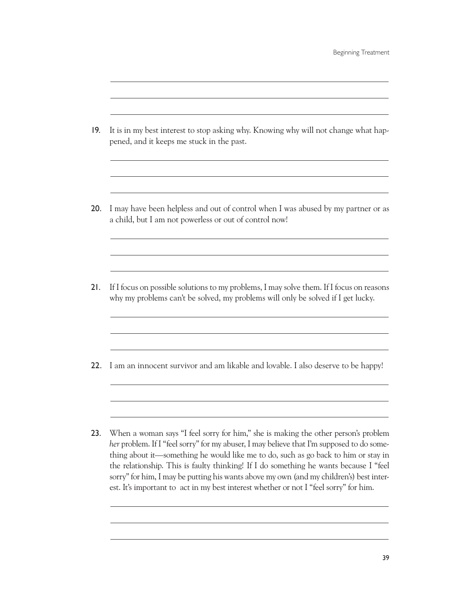| It is in my best interest to stop asking why. Knowing why will not change what hap-<br>pened, and it keeps me stuck in the past.                                             |
|------------------------------------------------------------------------------------------------------------------------------------------------------------------------------|
| I may have been helpless and out of control when I was abused by my partner or as<br>a child, but I am not powerless or out of control now!                                  |
| If I focus on possible solutions to my problems, I may solve them. If I focus on reasons<br>why my problems can't be solved, my problems will only be solved if I get lucky. |
| I am an innocent survivor and am likable and lovable. I also deserve to be happy!                                                                                            |
|                                                                                                                                                                              |

 $\overline{a}$ 

 $\overline{a}$ 

the relationship. This is faulty thinking! If I do something he wants because I "feel sorry" for him, I may be putting his wants above my own (and my children's) best interest. It's important to act in my best interest whether or not I "feel sorry" for him.